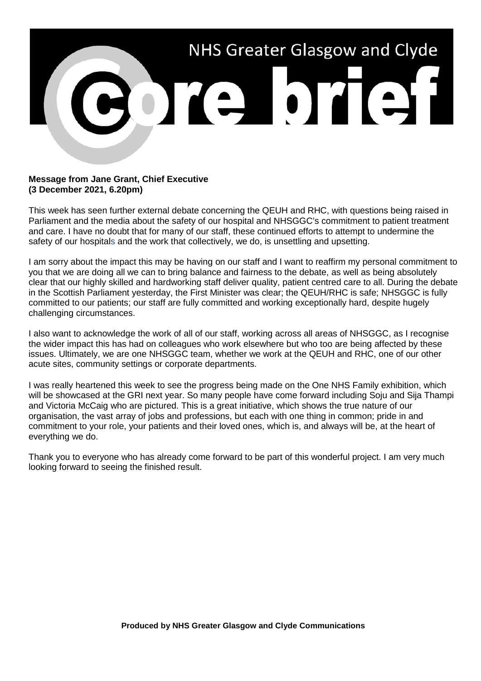

## **Message from Jane Grant, Chief Executive (3 December 2021, 6.20pm)**

This week has seen further external debate concerning the QEUH and RHC, with questions being raised in Parliament and the media about the safety of our hospital and NHSGGC's commitment to patient treatment and care. I have no doubt that for many of our staff, these continued efforts to attempt to undermine the safety of our hospitals and the work that collectively, we do, is unsettling and upsetting.

I am sorry about the impact this may be having on our staff and I want to reaffirm my personal commitment to you that we are doing all we can to bring balance and fairness to the debate, as well as being absolutely clear that our highly skilled and hardworking staff deliver quality, patient centred care to all. During the debate in the Scottish Parliament yesterday, the First Minister was clear; the QEUH/RHC is safe; NHSGGC is fully committed to our patients; our staff are fully committed and working exceptionally hard, despite hugely challenging circumstances.

I also want to acknowledge the work of all of our staff, working across all areas of NHSGGC, as I recognise the wider impact this has had on colleagues who work elsewhere but who too are being affected by these issues. Ultimately, we are one NHSGGC team, whether we work at the QEUH and RHC, one of our other acute sites, community settings or corporate departments.

I was really heartened this week to see the progress being made on the One NHS Family exhibition, which will be showcased at the GRI next year. So many people have come forward including Soju and Sija Thampi and Victoria McCaig who are pictured. This is a great initiative, which shows the true nature of our organisation, the vast array of jobs and professions, but each with one thing in common; pride in and commitment to your role, your patients and their loved ones, which is, and always will be, at the heart of everything we do.

Thank you to everyone who has already come forward to be part of this wonderful project. I am very much looking forward to seeing the finished result.